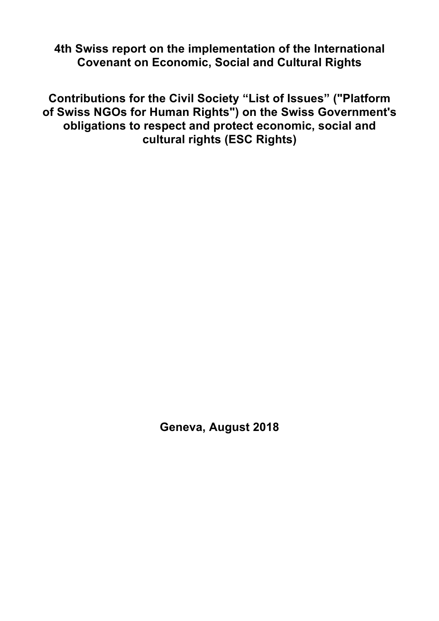**4th Swiss report on the implementation of the International Covenant on Economic, Social and Cultural Rights**

**Contributions for the Civil Society "List of Issues" ("Platform of Swiss NGOs for Human Rights") on the Swiss Government's obligations to respect and protect economic, social and cultural rights (ESC Rights)**

**Geneva, August 2018**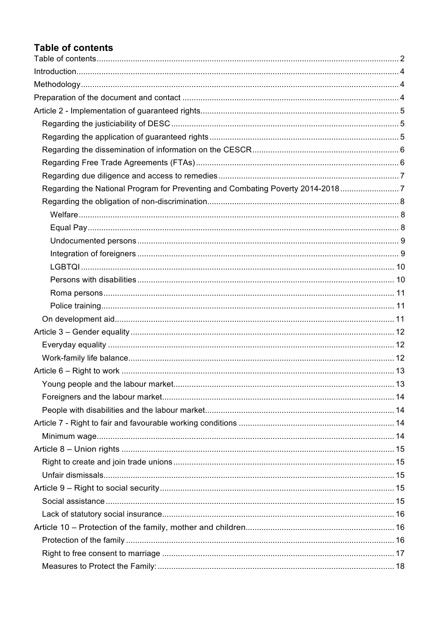# **Table of contents**

| Regarding the National Program for Preventing and Combating Poverty 2014-20187 |  |
|--------------------------------------------------------------------------------|--|
|                                                                                |  |
|                                                                                |  |
|                                                                                |  |
|                                                                                |  |
|                                                                                |  |
|                                                                                |  |
|                                                                                |  |
|                                                                                |  |
|                                                                                |  |
|                                                                                |  |
|                                                                                |  |
|                                                                                |  |
|                                                                                |  |
|                                                                                |  |
|                                                                                |  |
|                                                                                |  |
|                                                                                |  |
|                                                                                |  |
|                                                                                |  |
|                                                                                |  |
|                                                                                |  |
|                                                                                |  |
|                                                                                |  |
|                                                                                |  |
|                                                                                |  |
|                                                                                |  |
|                                                                                |  |
|                                                                                |  |
|                                                                                |  |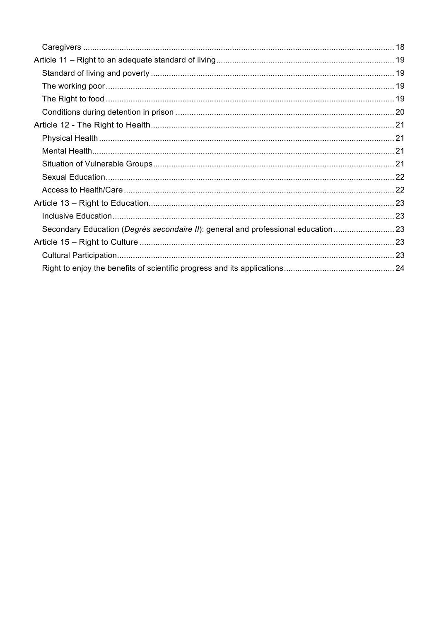| Secondary Education (Degrés secondaire II): general and professional education  23 |  |
|------------------------------------------------------------------------------------|--|
|                                                                                    |  |
|                                                                                    |  |
|                                                                                    |  |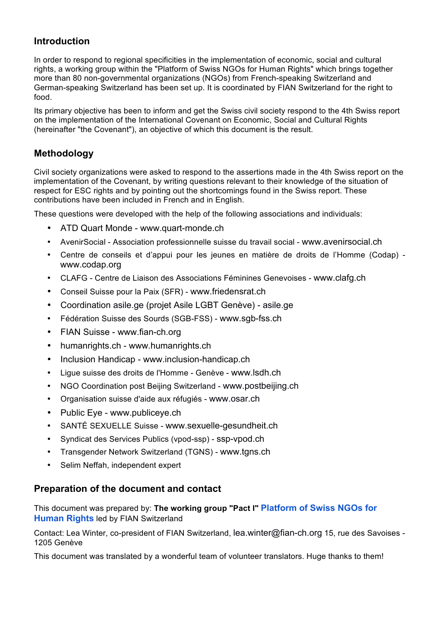# **Introduction**

In order to respond to regional specificities in the implementation of economic, social and cultural rights, a working group within the "Platform of Swiss NGOs for Human Rights" which brings together more than 80 non-governmental organizations (NGOs) from French-speaking Switzerland and German-speaking Switzerland has been set up. It is coordinated by FIAN Switzerland for the right to food.

Its primary objective has been to inform and get the Swiss civil society respond to the 4th Swiss report on the implementation of the International Covenant on Economic, Social and Cultural Rights (hereinafter "the Covenant"), an objective of which this document is the result.

# **Methodology**

Civil society organizations were asked to respond to the assertions made in the 4th Swiss report on the implementation of the Covenant, by writing questions relevant to their knowledge of the situation of respect for ESC rights and by pointing out the shortcomings found in the Swiss report. These contributions have been included in French and in English.

These questions were developed with the help of the following associations and individuals:

- ATD Quart Monde www.quart-monde.ch
- AvenirSocial Association professionnelle suisse du travail social www.avenirsocial.ch
- Centre de conseils et d'appui pour les jeunes en matière de droits de l'Homme (Codap) www.codap.org
- CLAFG Centre de Liaison des Associations Féminines Genevoises www.clafg.ch
- Conseil Suisse pour la Paix (SFR) www.friedensrat.ch
- Coordination asile.ge (projet Asile LGBT Genève) asile.ge
- Fédération Suisse des Sourds (SGB-FSS) www.sgb-fss.ch
- FIAN Suisse www.fian-ch.org
- humanrights.ch www.humanrights.ch
- Inclusion Handicap www.inclusion-handicap.ch
- Ligue suisse des droits de l'Homme Genève www.lsdh.ch
- NGO Coordination post Beijing Switzerland www.postbeijing.ch
- Organisation suisse d'aide aux réfugiés www.osar.ch
- Public Eye www.publiceye.ch
- SANTÉ SEXUELLE Suisse www.sexuelle-gesundheit.ch
- Syndicat des Services Publics (vpod-ssp) ssp-vpod.ch
- Transgender Network Switzerland (TGNS) www.tgns.ch
- Selim Neffah, independent expert

## **Preparation of the document and contact**

This document was prepared by: **The working group "Pact I" Platform of Swiss NGOs for Human Rights** led by FIAN Switzerland

Contact: Lea Winter, co-president of FIAN Switzerland, lea.winter@fian-ch.org 15, rue des Savoises - 1205 Genève

This document was translated by a wonderful team of volunteer translators. Huge thanks to them!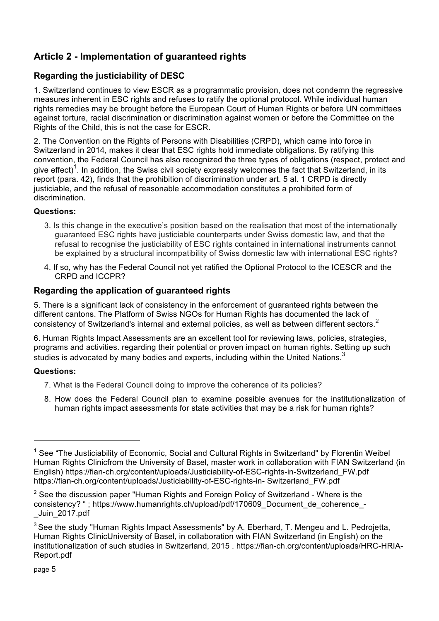# **Article 2 - Implementation of guaranteed rights**

# **Regarding the justiciability of DESC**

1. Switzerland continues to view ESCR as a programmatic provision, does not condemn the regressive measures inherent in ESC rights and refuses to ratify the optional protocol. While individual human rights remedies may be brought before the European Court of Human Rights or before UN committees against torture, racial discrimination or discrimination against women or before the Committee on the Rights of the Child, this is not the case for ESCR.

2. The Convention on the Rights of Persons with Disabilities (CRPD), which came into force in Switzerland in 2014, makes it clear that ESC rights hold immediate obligations. By ratifying this convention, the Federal Council has also recognized the three types of obligations (respect, protect and give effect)<sup>1</sup>. In addition, the Swiss civil society expressly welcomes the fact that Switzerland, in its report (para. 42), finds that the prohibition of discrimination under art. 5 al. 1 CRPD is directly justiciable, and the refusal of reasonable accommodation constitutes a prohibited form of discrimination.

## **Questions:**

- 3. Is this change in the executive's position based on the realisation that most of the internationally guaranteed ESC rights have justiciable counterparts under Swiss domestic law, and that the refusal to recognise the justiciability of ESC rights contained in international instruments cannot be explained by a structural incompatibility of Swiss domestic law with international ESC rights?
- 4. If so, why has the Federal Council not yet ratified the Optional Protocol to the ICESCR and the CRPD and ICCPR?

# **Regarding the application of guaranteed rights**

5. There is a significant lack of consistency in the enforcement of guaranteed rights between the different cantons. The Platform of Swiss NGOs for Human Rights has documented the lack of consistency of Switzerland's internal and external policies, as well as between different sectors.<sup>2</sup>

6. Human Rights Impact Assessments are an excellent tool for reviewing laws, policies, strategies, programs and activities. regarding their potential or proven impact on human rights. Setting up such studies is advocated by many bodies and experts, including within the United Nations.<sup>3</sup>

## **Questions:**

- 7. What is the Federal Council doing to improve the coherence of its policies?
- 8. How does the Federal Council plan to examine possible avenues for the institutionalization of human rights impact assessments for state activities that may be a risk for human rights?

 $<sup>1</sup>$  See "The Justiciability of Economic. Social and Cultural Rights in Switzerland" by Florentin Weibel</sup> Human Rights Clinicfrom the University of Basel, master work in collaboration with FIAN Switzerland (in English) https://fian-ch.org/content/uploads/Justiciability-of-ESC-rights-in-Switzerland\_FW.pdf https://fian-ch.org/content/uploads/Justiciability-of-ESC-rights-in- Switzerland\_FW.pdf

 $2$  See the discussion paper "Human Rights and Foreign Policy of Switzerland - Where is the consistency? "; https://www.humanrights.ch/upload/pdf/170609\_Document\_de\_coherence\_-\_Juin\_2017.pdf

 $3$  See the study "Human Rights Impact Assessments" by A. Eberhard, T. Mengeu and L. Pedrojetta, Human Rights ClinicUniversity of Basel, in collaboration with FIAN Switzerland (in English) on the institutionalization of such studies in Switzerland, 2015 . https://fian-ch.org/content/uploads/HRC-HRIA-Report.pdf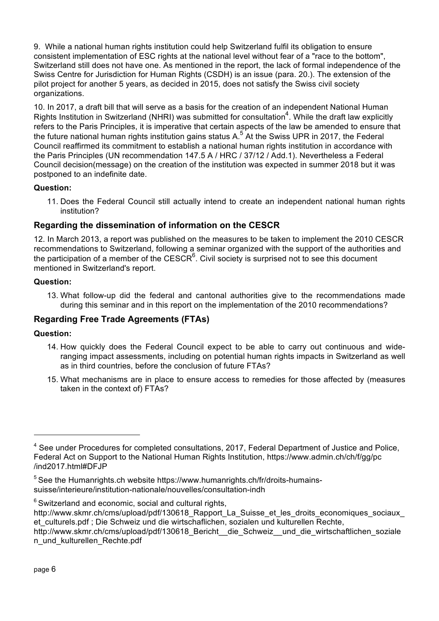9. While a national human rights institution could help Switzerland fulfil its obligation to ensure consistent implementation of ESC rights at the national level without fear of a "race to the bottom", Switzerland still does not have one. As mentioned in the report, the lack of formal independence of the Swiss Centre for Jurisdiction for Human Rights (CSDH) is an issue (para. 20.). The extension of the pilot project for another 5 years, as decided in 2015, does not satisfy the Swiss civil society organizations.

10. In 2017, a draft bill that will serve as a basis for the creation of an independent National Human Rights Institution in Switzerland (NHRI) was submitted for consultation<sup>4</sup>. While the draft law explicitly refers to the Paris Principles, it is imperative that certain aspects of the law be amended to ensure that the future national human rights institution gains status A.<sup>5</sup> At the Swiss UPR in 2017, the Federal Council reaffirmed its commitment to establish a national human rights institution in accordance with the Paris Principles (UN recommendation 147.5 A / HRC / 37/12 / Add.1). Nevertheless a Federal Council decision(message) on the creation of the institution was expected in summer 2018 but it was postponed to an indefinite date.

## **Question:**

11. Does the Federal Council still actually intend to create an independent national human rights institution?

# **Regarding the dissemination of information on the CESCR**

12. In March 2013, a report was published on the measures to be taken to implement the 2010 CESCR recommendations to Switzerland, following a seminar organized with the support of the authorities and the participation of a member of the CESCR $<sup>6</sup>$ . Civil society is surprised not to see this document</sup> mentioned in Switzerland's report.

## **Question:**

13. What follow-up did the federal and cantonal authorities give to the recommendations made during this seminar and in this report on the implementation of the 2010 recommendations?

# **Regarding Free Trade Agreements (FTAs)**

## **Question:**

- 14. How quickly does the Federal Council expect to be able to carry out continuous and wideranging impact assessments, including on potential human rights impacts in Switzerland as well as in third countries, before the conclusion of future FTAs?
- 15. What mechanisms are in place to ensure access to remedies for those affected by (measures taken in the context of) FTAs?

 $6$  Switzerland and economic, social and cultural rights,

<sup>&</sup>lt;sup>4</sup> See under Procedures for completed consultations, 2017, Federal Department of Justice and Police, Federal Act on Support to the National Human Rights Institution, https://www.admin.ch/ch/f/gg/pc /ind2017.html#DFJP

<sup>&</sup>lt;sup>5</sup> See the Humanrights.ch website https://www.humanrights.ch/fr/droits-humainssuisse/interieure/institution-nationale/nouvelles/consultation-indh

http://www.skmr.ch/cms/upload/pdf/130618 Rapport La Suisse et les droits economiques sociaux et culturels.pdf ; Die Schweiz und die wirtschaflichen, sozialen und kulturellen Rechte,

http://www.skmr.ch/cms/upload/pdf/130618 Bericht\_ die Schweiz\_ und die wirtschaftlichen\_soziale n\_und\_kulturellen\_Rechte.pdf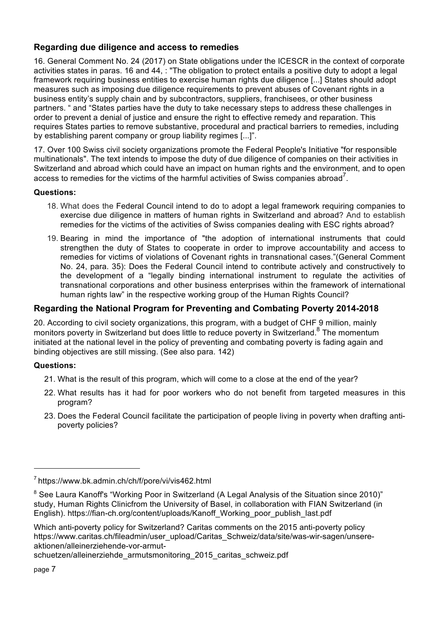# **Regarding due diligence and access to remedies**

16. General Comment No. 24 (2017) on State obligations under the ICESCR in the context of corporate activities states in paras. 16 and 44, : "The obligation to protect entails a positive duty to adopt a legal framework requiring business entities to exercise human rights due diligence [...] States should adopt measures such as imposing due diligence requirements to prevent abuses of Covenant rights in a business entity's supply chain and by subcontractors, suppliers, franchisees, or other business partners. " and "States parties have the duty to take necessary steps to address these challenges in order to prevent a denial of justice and ensure the right to effective remedy and reparation. This requires States parties to remove substantive, procedural and practical barriers to remedies, including by establishing parent company or group liability regimes [...]".

17. Over 100 Swiss civil society organizations promote the Federal People's Initiative "for responsible multinationals". The text intends to impose the duty of due diligence of companies on their activities in Switzerland and abroad which could have an impact on human rights and the environment, and to open access to remedies for the victims of the harmful activities of Swiss companies abroad<sup>7</sup>.

## **Questions:**

- 18. What does the Federal Council intend to do to adopt a legal framework requiring companies to exercise due diligence in matters of human rights in Switzerland and abroad? And to establish remedies for the victims of the activities of Swiss companies dealing with ESC rights abroad?
- 19. Bearing in mind the importance of "the adoption of international instruments that could strengthen the duty of States to cooperate in order to improve accountability and access to remedies for victims of violations of Covenant rights in transnational cases."(General Comment No. 24, para. 35): Does the Federal Council intend to contribute actively and constructively to the development of a "legally binding international instrument to regulate the activities of transnational corporations and other business enterprises within the framework of international human rights law" in the respective working group of the Human Rights Council?

## **Regarding the National Program for Preventing and Combating Poverty 2014-2018**

20. According to civil society organizations, this program, with a budget of CHF 9 million, mainly monitors poverty in Switzerland but does little to reduce poverty in Switzerland.<sup>8</sup> The momentum initiated at the national level in the policy of preventing and combating poverty is fading again and binding objectives are still missing. (See also para. 142)

## **Questions:**

- 21. What is the result of this program, which will come to a close at the end of the year?
- 22. What results has it had for poor workers who do not benefit from targeted measures in this program?
- 23. Does the Federal Council facilitate the participation of people living in poverty when drafting antipoverty policies?

<sup>7</sup> https://www.bk.admin.ch/ch/f/pore/vi/vis462.html

<sup>&</sup>lt;sup>8</sup> See Laura Kanoff's "Working Poor in Switzerland (A Legal Analysis of the Situation since 2010)" study, Human Rights Clinicfrom the University of Basel, in collaboration with FIAN Switzerland (in English). https://fian-ch.org/content/uploads/Kanoff\_Working\_poor\_publish\_last.pdf

Which anti-poverty policy for Switzerland? Caritas comments on the 2015 anti-poverty policy https://www.caritas.ch/fileadmin/user\_upload/Caritas\_Schweiz/data/site/was-wir-sagen/unsereaktionen/alleinerziehende-vor-armut-

schuetzen/alleinerziehde armutsmonitoring 2015 caritas schweiz.pdf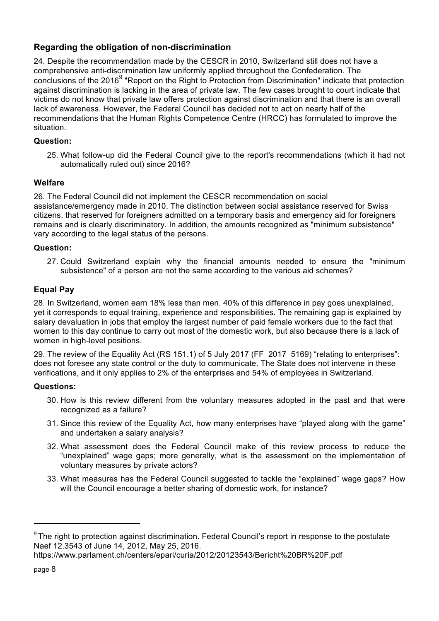# **Regarding the obligation of non-discrimination**

24. Despite the recommendation made by the CESCR in 2010, Switzerland still does not have a comprehensive anti-discrimination law uniformly applied throughout the Confederation. The conclusions of the 2016<sup>9</sup> "Report on the Right to Protection from Discrimination" indicate that protection against discrimination is lacking in the area of private law. The few cases brought to court indicate that victims do not know that private law offers protection against discrimination and that there is an overall lack of awareness. However, the Federal Council has decided not to act on nearly half of the recommendations that the Human Rights Competence Centre (HRCC) has formulated to improve the situation.

## **Question:**

25. What follow-up did the Federal Council give to the report's recommendations (which it had not automatically ruled out) since 2016?

## **Welfare**

26. The Federal Council did not implement the CESCR recommendation on social assistance/emergency made in 2010. The distinction between social assistance reserved for Swiss citizens, that reserved for foreigners admitted on a temporary basis and emergency aid for foreigners remains and is clearly discriminatory. In addition, the amounts recognized as "minimum subsistence" vary according to the legal status of the persons.

#### **Question:**

27. Could Switzerland explain why the financial amounts needed to ensure the "minimum subsistence" of a person are not the same according to the various aid schemes?

## **Equal Pay**

28. In Switzerland, women earn 18% less than men. 40% of this difference in pay goes unexplained, yet it corresponds to equal training, experience and responsibilities. The remaining gap is explained by salary devaluation in jobs that employ the largest number of paid female workers due to the fact that women to this day continue to carry out most of the domestic work, but also because there is a lack of women in high-level positions.

29. The review of the Equality Act (RS 151.1) of 5 July 2017 (FF 2017 5169) "relating to enterprises": does not foresee any state control or the duty to communicate. The State does not intervene in these verifications, and it only applies to 2% of the enterprises and 54% of employees in Switzerland.

#### **Questions:**

- 30. How is this review different from the voluntary measures adopted in the past and that were recognized as a failure?
- 31. Since this review of the Equality Act, how many enterprises have "played along with the game" and undertaken a salary analysis?
- 32. What assessment does the Federal Council make of this review process to reduce the "unexplained" wage gaps; more generally, what is the assessment on the implementation of voluntary measures by private actors?
- 33. What measures has the Federal Council suggested to tackle the "explained" wage gaps? How will the Council encourage a better sharing of domestic work, for instance?

 $9$  The right to protection against discrimination. Federal Council's report in response to the postulate Naef 12.3543 of June 14, 2012, May 25, 2016.

https://www.parlament.ch/centers/eparl/curia/2012/20123543/Bericht%20BR%20F.pdf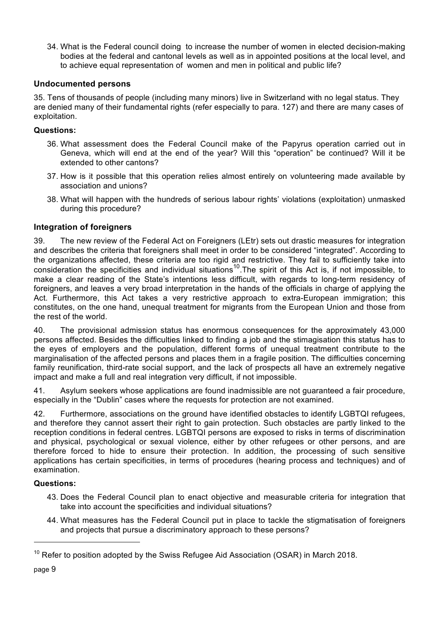34. What is the Federal council doing to increase the number of women in elected decision-making bodies at the federal and cantonal levels as well as in appointed positions at the local level, and to achieve equal representation of women and men in political and public life?

## **Undocumented persons**

35. Tens of thousands of people (including many minors) live in Switzerland with no legal status. They are denied many of their fundamental rights (refer especially to para. 127) and there are many cases of exploitation.

## **Questions:**

- 36. What assessment does the Federal Council make of the Papyrus operation carried out in Geneva, which will end at the end of the year? Will this "operation" be continued? Will it be extended to other cantons?
- 37. How is it possible that this operation relies almost entirely on volunteering made available by association and unions?
- 38. What will happen with the hundreds of serious labour rights' violations (exploitation) unmasked during this procedure?

## **Integration of foreigners**

39. The new review of the Federal Act on Foreigners (LEtr) sets out drastic measures for integration and describes the criteria that foreigners shall meet in order to be considered "integrated". According to the organizations affected, these criteria are too rigid and restrictive. They fail to sufficiently take into consideration the specificities and individual situations<sup>10</sup>. The spirit of this Act is, if not impossible, to make a clear reading of the State's intentions less difficult, with regards to long-term residency of foreigners, and leaves a very broad interpretation in the hands of the officials in charge of applying the Act. Furthermore, this Act takes a very restrictive approach to extra-European immigration; this constitutes, on the one hand, unequal treatment for migrants from the European Union and those from the rest of the world.

40. The provisional admission status has enormous consequences for the approximately 43,000 persons affected. Besides the difficulties linked to finding a job and the stimagisation this status has to the eyes of employers and the population, different forms of unequal treatment contribute to the marginalisation of the affected persons and places them in a fragile position. The difficulties concerning family reunification, third-rate social support, and the lack of prospects all have an extremely negative impact and make a full and real integration very difficult, if not impossible.

41. Asylum seekers whose applications are found inadmissible are not guaranteed a fair procedure, especially in the "Dublin" cases where the requests for protection are not examined.

42. Furthermore, associations on the ground have identified obstacles to identify LGBTQI refugees, and therefore they cannot assert their right to gain protection. Such obstacles are partly linked to the reception conditions in federal centres. LGBTQI persons are exposed to risks in terms of discrimination and physical, psychological or sexual violence, either by other refugees or other persons, and are therefore forced to hide to ensure their protection. In addition, the processing of such sensitive applications has certain specificities, in terms of procedures (hearing process and techniques) and of examination.

## **Questions:**

- 43. Does the Federal Council plan to enact objective and measurable criteria for integration that take into account the specificities and individual situations?
- 44. What measures has the Federal Council put in place to tackle the stigmatisation of foreigners and projects that pursue a discriminatory approach to these persons?

 $10$  Refer to position adopted by the Swiss Refugee Aid Association (OSAR) in March 2018.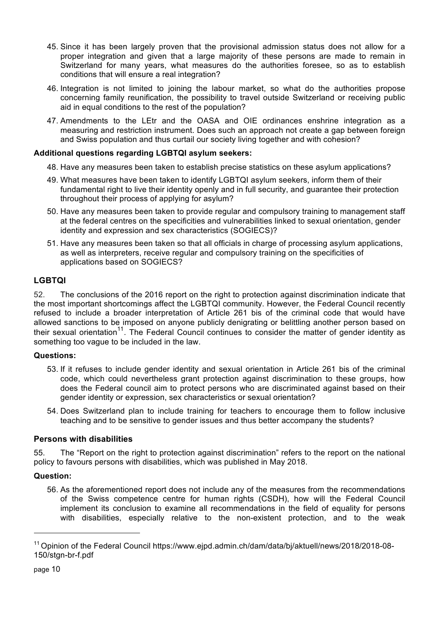- 45. Since it has been largely proven that the provisional admission status does not allow for a proper integration and given that a large majority of these persons are made to remain in Switzerland for many years, what measures do the authorities foresee, so as to establish conditions that will ensure a real integration?
- 46. Integration is not limited to joining the labour market, so what do the authorities propose concerning family reunification, the possibility to travel outside Switzerland or receiving public aid in equal conditions to the rest of the population?
- 47. Amendments to the LEtr and the OASA and OIE ordinances enshrine integration as a measuring and restriction instrument. Does such an approach not create a gap between foreign and Swiss population and thus curtail our society living together and with cohesion?

#### **Additional questions regarding LGBTQI asylum seekers:**

- 48. Have any measures been taken to establish precise statistics on these asylum applications?
- 49. What measures have been taken to identify LGBTQI asylum seekers, inform them of their fundamental right to live their identity openly and in full security, and guarantee their protection throughout their process of applying for asylum?
- 50. Have any measures been taken to provide regular and compulsory training to management staff at the federal centres on the specificities and vulnerabilities linked to sexual orientation, gender identity and expression and sex characteristics (SOGIECS)?
- 51. Have any measures been taken so that all officials in charge of processing asylum applications, as well as interpreters, receive regular and compulsory training on the specificities of applications based on SOGIECS?

## **LGBTQI**

52. The conclusions of the 2016 report on the right to protection against discrimination indicate that the most important shortcomings affect the LGBTQI community. However, the Federal Council recently refused to include a broader interpretation of Article 261 bis of the criminal code that would have allowed sanctions to be imposed on anyone publicly denigrating or belittling another person based on their sexual orientation<sup>11</sup>. The Federal Council continues to consider the matter of gender identity as something too vague to be included in the law.

#### **Questions:**

- 53. If it refuses to include gender identity and sexual orientation in Article 261 bis of the criminal code, which could nevertheless grant protection against discrimination to these groups, how does the Federal council aim to protect persons who are discriminated against based on their gender identity or expression, sex characteristics or sexual orientation?
- 54. Does Switzerland plan to include training for teachers to encourage them to follow inclusive teaching and to be sensitive to gender issues and thus better accompany the students?

#### **Persons with disabilities**

55. The "Report on the right to protection against discrimination" refers to the report on the national policy to favours persons with disabilities, which was published in May 2018.

#### **Question:**

56. As the aforementioned report does not include any of the measures from the recommendations of the Swiss competence centre for human rights (CSDH), how will the Federal Council implement its conclusion to examine all recommendations in the field of equality for persons with disabilities, especially relative to the non-existent protection, and to the weak

<sup>11</sup> Opinion of the Federal Council https://www.ejpd.admin.ch/dam/data/bj/aktuell/news/2018/2018-08- 150/stgn-br-f.pdf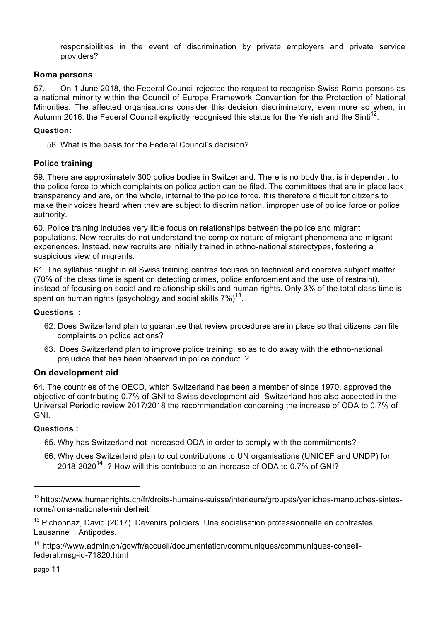responsibilities in the event of discrimination by private employers and private service providers?

## **Roma persons**

57. On 1 June 2018, the Federal Council rejected the request to recognise Swiss Roma persons as a national minority within the Council of Europe Framework Convention for the Protection of National Minorities. The affected organisations consider this decision discriminatory, even more so when, in Autumn 2016, the Federal Council explicitly recognised this status for the Yenish and the Sinti<sup>12</sup>.

#### **Question:**

58. What is the basis for the Federal Council's decision?

## **Police training**

59. There are approximately 300 police bodies in Switzerland. There is no body that is independent to the police force to which complaints on police action can be filed. The committees that are in place lack transparency and are, on the whole, internal to the police force. It is therefore difficult for citizens to make their voices heard when they are subject to discrimination, improper use of police force or police authority.

60. Police training includes very little focus on relationships between the police and migrant populations. New recruits do not understand the complex nature of migrant phenomena and migrant experiences. Instead, new recruits are initially trained in ethno-national stereotypes, fostering a suspicious view of migrants.

61. The syllabus taught in all Swiss training centres focuses on technical and coercive subject matter (70% of the class time is spent on detecting crimes, police enforcement and the use of restraint), instead of focusing on social and relationship skills and human rights. Only 3% of the total class time is spent on human rights (psychology and social skills  $7\%$ )<sup>13</sup>.

#### **Questions :**

- 62. Does Switzerland plan to guarantee that review procedures are in place so that citizens can file complaints on police actions?
- 63. Does Switzerland plan to improve police training, so as to do away with the ethno-national prejudice that has been observed in police conduct ?

#### **On development aid**

64. The countries of the OECD, which Switzerland has been a member of since 1970, approved the objective of contributing 0.7% of GNI to Swiss development aid. Switzerland has also accepted in the Universal Periodic review 2017/2018 the recommendation concerning the increase of ODA to 0.7% of GNI.

#### **Questions :**

- 65. Why has Switzerland not increased ODA in order to comply with the commitments?
- 66. Why does Switzerland plan to cut contributions to UN organisations (UNICEF and UNDP) for 2018-2020<sup>14</sup>, ? How will this contribute to an increase of ODA to 0.7% of GNI?

<sup>&</sup>lt;sup>12</sup> https://www.humanrights.ch/fr/droits-humains-suisse/interieure/groupes/yeniches-manouches-sintesroms/roma-nationale-minderheit

 $13$  Pichonnaz, David (2017) Devenirs policiers. Une socialisation professionnelle en contrastes, Lausanne : Antipodes.

<sup>14</sup> https://www.admin.ch/gov/fr/accueil/documentation/communiques/communiques-conseilfederal.msg-id-71820.html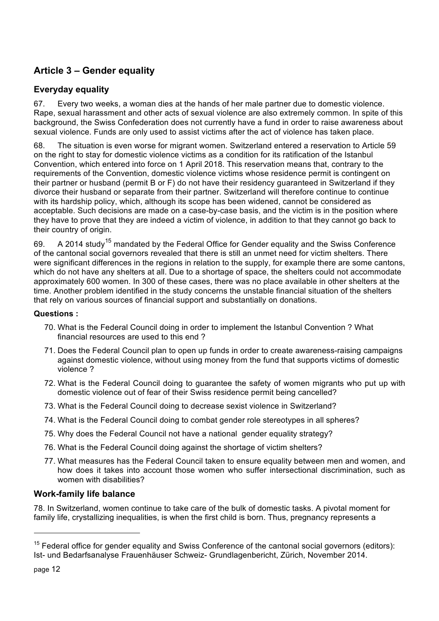# **Article 3 – Gender equality**

## **Everyday equality**

67. Every two weeks, a woman dies at the hands of her male partner due to domestic violence. Rape, sexual harassment and other acts of sexual violence are also extremely common. In spite of this background, the Swiss Confederation does not currently have a fund in order to raise awareness about sexual violence. Funds are only used to assist victims after the act of violence has taken place.

68. The situation is even worse for migrant women. Switzerland entered a reservation to Article 59 on the right to stay for domestic violence victims as a condition for its ratification of the Istanbul Convention, which entered into force on 1 April 2018. This reservation means that, contrary to the requirements of the Convention, domestic violence victims whose residence permit is contingent on their partner or husband (permit B or F) do not have their residency guaranteed in Switzerland if they divorce their husband or separate from their partner. Switzerland will therefore continue to continue with its hardship policy, which, although its scope has been widened, cannot be considered as acceptable. Such decisions are made on a case-by-case basis, and the victim is in the position where they have to prove that they are indeed a victim of violence, in addition to that they cannot go back to their country of origin.

69. A 2014 study<sup>15</sup> mandated by the Federal Office for Gender equality and the Swiss Conference of the cantonal social governors revealed that there is still an unmet need for victim shelters. There were significant differences in the regions in relation to the supply, for example there are some cantons, which do not have any shelters at all. Due to a shortage of space, the shelters could not accommodate approximately 600 women. In 300 of these cases, there was no place available in other shelters at the time. Another problem identified in the study concerns the unstable financial situation of the shelters that rely on various sources of financial support and substantially on donations.

#### **Questions :**

- 70. What is the Federal Council doing in order to implement the Istanbul Convention ? What financial resources are used to this end ?
- 71. Does the Federal Council plan to open up funds in order to create awareness-raising campaigns against domestic violence, without using money from the fund that supports victims of domestic violence ?
- 72. What is the Federal Council doing to guarantee the safety of women migrants who put up with domestic violence out of fear of their Swiss residence permit being cancelled?
- 73. What is the Federal Council doing to decrease sexist violence in Switzerland?
- 74. What is the Federal Council doing to combat gender role stereotypes in all spheres?
- 75. Why does the Federal Council not have a national gender equality strategy?
- 76. What is the Federal Council doing against the shortage of victim shelters?
- 77. What measures has the Federal Council taken to ensure equality between men and women, and how does it takes into account those women who suffer intersectional discrimination, such as women with disabilities?

## **Work-family life balance**

78. In Switzerland, women continue to take care of the bulk of domestic tasks. A pivotal moment for family life, crystallizing inequalities, is when the first child is born. Thus, pregnancy represents a

 $15$  Federal office for gender equality and Swiss Conference of the cantonal social governors (editors): Ist- und Bedarfsanalyse Frauenhäuser Schweiz- Grundlagenbericht, Zürich, November 2014.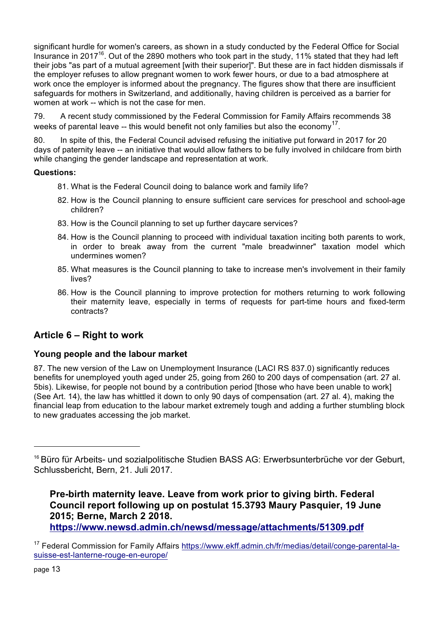significant hurdle for women's careers, as shown in a study conducted by the Federal Office for Social Insurance in 201716. Out of the 2890 mothers who took part in the study, 11% stated that they had left their jobs "as part of a mutual agreement [with their superior]". But these are in fact hidden dismissals if the employer refuses to allow pregnant women to work fewer hours, or due to a bad atmosphere at work once the employer is informed about the pregnancy. The figures show that there are insufficient safeguards for mothers in Switzerland, and additionally, having children is perceived as a barrier for women at work -- which is not the case for men.

79. A recent study commissioned by the Federal Commission for Family Affairs recommends 38 weeks of parental leave  $-$  this would benefit not only families but also the economy<sup>17</sup>.

80. In spite of this, the Federal Council advised refusing the initiative put forward in 2017 for 20 days of paternity leave -- an initiative that would allow fathers to be fully involved in childcare from birth while changing the gender landscape and representation at work.

## **Questions:**

- 81. What is the Federal Council doing to balance work and family life?
- 82. How is the Council planning to ensure sufficient care services for preschool and school-age children?
- 83. How is the Council planning to set up further daycare services?
- 84. How is the Council planning to proceed with individual taxation inciting both parents to work, in order to break away from the current "male breadwinner" taxation model which undermines women?
- 85. What measures is the Council planning to take to increase men's involvement in their family lives?
- 86. How is the Council planning to improve protection for mothers returning to work following their maternity leave, especially in terms of requests for part-time hours and fixed-term contracts?

# **Article 6 – Right to work**

## **Young people and the labour market**

87. The new version of the Law on Unemployment Insurance (LACI RS 837.0) significantly reduces benefits for unemployed youth aged under 25, going from 260 to 200 days of compensation (art. 27 al. 5bis). Likewise, for people not bound by a contribution period [those who have been unable to work] (See Art. 14), the law has whittled it down to only 90 days of compensation (art. 27 al. 4), making the financial leap from education to the labour market extremely tough and adding a further stumbling block to new graduates accessing the job market.

**Pre-birth maternity leave. Leave from work prior to giving birth. Federal Council report following up on postulat 15.3793 Maury Pasquier, 19 June 2015; Berne, March 2 2018. https://www.newsd.admin.ch/newsd/message/attachments/51309.pdf** 

<sup>&</sup>lt;sup>16</sup> Büro für Arbeits- und sozialpolitische Studien BASS AG: Erwerbsunterbrüche vor der Geburt, Schlussbericht, Bern, 21. Juli 2017.

<sup>17</sup> Federal Commission for Family Affairs https://www.ekff.admin.ch/fr/medias/detail/conge-parental-lasuisse-est-lanterne-rouge-en-europe/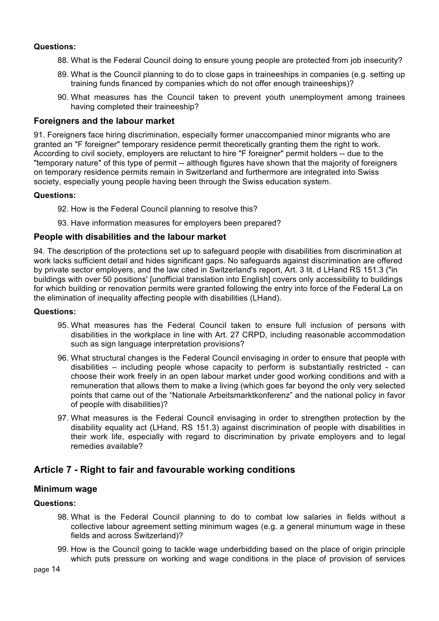#### **Questions:**

- 88. What is the Federal Council doing to ensure young people are protected from job insecurity?
- 89. What is the Council planning to do to close gaps in traineeships in companies (e.g. setting up training funds financed by companies which do not offer enough traineeships)?
- 90. What measures has the Council taken to prevent youth unemployment among trainees having completed their traineeship?

#### **Foreigners and the labour market**

91. Foreigners face hiring discrimination, especially former unaccompanied minor migrants who are granted an "F foreigner" temporary residence permit theoretically granting them the right to work. According to civil society, employers are reluctant to hire "F foreigner" permit holders -- due to the "temporary nature" of this type of permit -- although figures have shown that the majority of foreigners on temporary residence permits remain in Switzerland and furthermore are integrated into Swiss society, especially young people having been through the Swiss education system.

#### **Questions:**

- 92. How is the Federal Council planning to resolve this?
- 93. Have information measures for employers been prepared?

#### **People with disabilities and the labour market**

94. The description of the protections set up to safeguard people with disabilities from discrimination at work lacks sufficient detail and hides significant gaps. No safeguards against discrimination are offered by private sector employers, and the law cited in Switzerland's report, Art. 3 lit. d LHand RS 151.3 ("in buildings with over 50 positions' [unofficial translation into English] covers only accessibility to buildings for which building or renovation permits were granted following the entry into force of the Federal La on the elimination of inequality affecting people with disabilities (LHand).

#### **Questions:**

- 95. What measures has the Federal Council taken to ensure full inclusion of persons with disabilities in the workplace in line with Art. 27 CRPD, including reasonable accommodation such as sign language interpretation provisions?
- 96. What structural changes is the Federal Council envisaging in order to ensure that people with disabilities – including people whose capacity to perform is substantially restricted - can choose their work freely in an open labour market under good working conditions and with a remuneration that allows them to make a living (which goes far beyond the only very selected points that came out of the "Nationale Arbeitsmarktkonferenz" and the national policy in favor of people with disabilities)?
- 97. What measures is the Federal Council envisaging in order to strengthen protection by the disability equality act (LHand, RS 151.3) against discrimination of people with disabilities in their work life, especially with regard to discrimination by private employers and to legal remedies available?

## **Article 7 - Right to fair and favourable working conditions**

## **Minimum wage**

#### **Questions:**

- 98. What is the Federal Council planning to do to combat low salaries in fields without a collective labour agreement setting minimum wages (e.g. a general minumum wage in these fields and across Switzerland)?
- 99. How is the Council going to tackle wage underbidding based on the place of origin principle which puts pressure on working and wage conditions in the place of provision of services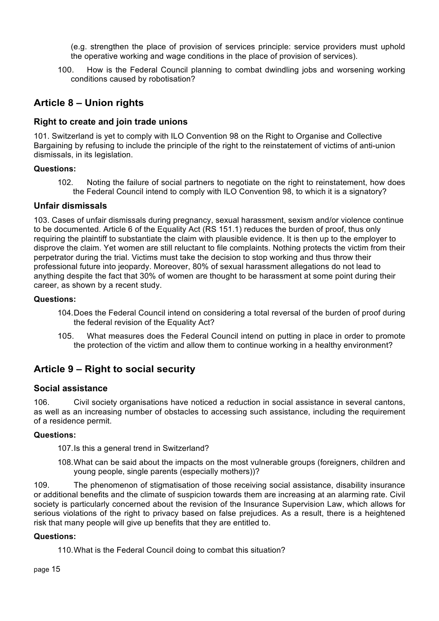(e.g. strengthen the place of provision of services principle: service providers must uphold the operative working and wage conditions in the place of provision of services).

100. How is the Federal Council planning to combat dwindling jobs and worsening working conditions caused by robotisation?

# **Article 8 – Union rights**

## **Right to create and join trade unions**

101. Switzerland is yet to comply with ILO Convention 98 on the Right to Organise and Collective Bargaining by refusing to include the principle of the right to the reinstatement of victims of anti-union dismissals, in its legislation.

## **Questions:**

102. Noting the failure of social partners to negotiate on the right to reinstatement, how does the Federal Council intend to comply with ILO Convention 98, to which it is a signatory?

## **Unfair dismissals**

103. Cases of unfair dismissals during pregnancy, sexual harassment, sexism and/or violence continue to be documented. Article 6 of the Equality Act (RS 151.1) reduces the burden of proof, thus only requiring the plaintiff to substantiate the claim with plausible evidence. It is then up to the employer to disprove the claim. Yet women are still reluctant to file complaints. Nothing protects the victim from their perpetrator during the trial. Victims must take the decision to stop working and thus throw their professional future into jeopardy. Moreover, 80% of sexual harassment allegations do not lead to anything despite the fact that 30% of women are thought to be harassment at some point during their career, as shown by a recent study.

#### **Questions:**

- 104.Does the Federal Council intend on considering a total reversal of the burden of proof during the federal revision of the Equality Act?
- 105. What measures does the Federal Council intend on putting in place in order to promote the protection of the victim and allow them to continue working in a healthy environment?

# **Article 9 – Right to social security**

#### **Social assistance**

106. Civil society organisations have noticed a reduction in social assistance in several cantons, as well as an increasing number of obstacles to accessing such assistance, including the requirement of a residence permit.

#### **Questions:**

107.Is this a general trend in Switzerland?

108.What can be said about the impacts on the most vulnerable groups (foreigners, children and young people, single parents (especially mothers))?

109. The phenomenon of stigmatisation of those receiving social assistance, disability insurance or additional benefits and the climate of suspicion towards them are increasing at an alarming rate. Civil society is particularly concerned about the revision of the Insurance Supervision Law, which allows for serious violations of the right to privacy based on false prejudices. As a result, there is a heightened risk that many people will give up benefits that they are entitled to.

#### **Questions:**

110.What is the Federal Council doing to combat this situation?

page 15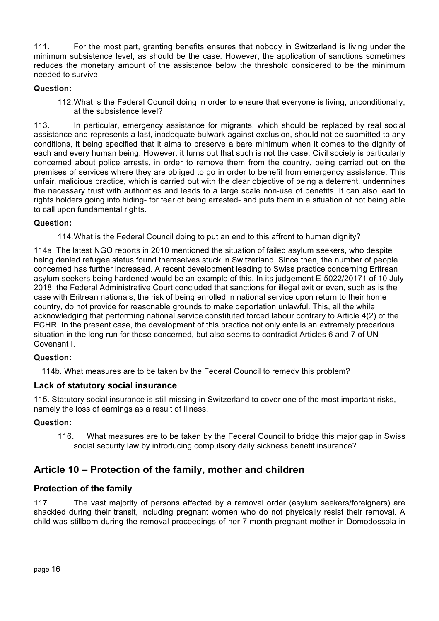111. For the most part, granting benefits ensures that nobody in Switzerland is living under the minimum subsistence level, as should be the case. However, the application of sanctions sometimes reduces the monetary amount of the assistance below the threshold considered to be the minimum needed to survive.

## **Question:**

112.What is the Federal Council doing in order to ensure that everyone is living, unconditionally, at the subsistence level?

113. In particular, emergency assistance for migrants, which should be replaced by real social assistance and represents a last, inadequate bulwark against exclusion, should not be submitted to any conditions, it being specified that it aims to preserve a bare minimum when it comes to the dignity of each and every human being. However, it turns out that such is not the case. Civil society is particularly concerned about police arrests, in order to remove them from the country, being carried out on the premises of services where they are obliged to go in order to benefit from emergency assistance. This unfair, malicious practice, which is carried out with the clear objective of being a deterrent, undermines the necessary trust with authorities and leads to a large scale non-use of benefits. It can also lead to rights holders going into hiding- for fear of being arrested- and puts them in a situation of not being able to call upon fundamental rights.

## **Question:**

114.What is the Federal Council doing to put an end to this affront to human dignity?

114a. The latest NGO reports in 2010 mentioned the situation of failed asylum seekers, who despite being denied refugee status found themselves stuck in Switzerland. Since then, the number of people concerned has further increased. A recent development leading to Swiss practice concerning Eritrean asylum seekers being hardened would be an example of this. In its judgement E-5022/20171 of 10 July 2018; the Federal Administrative Court concluded that sanctions for illegal exit or even, such as is the case with Eritrean nationals, the risk of being enrolled in national service upon return to their home country, do not provide for reasonable grounds to make deportation unlawful. This, all the while acknowledging that performing national service constituted forced labour contrary to Article 4(2) of the ECHR. In the present case, the development of this practice not only entails an extremely precarious situation in the long run for those concerned, but also seems to contradict Articles 6 and 7 of UN Covenant I.

#### **Question:**

114b. What measures are to be taken by the Federal Council to remedy this problem?

#### **Lack of statutory social insurance**

115. Statutory social insurance is still missing in Switzerland to cover one of the most important risks, namely the loss of earnings as a result of illness.

#### **Question:**

116. What measures are to be taken by the Federal Council to bridge this major gap in Swiss social security law by introducing compulsory daily sickness benefit insurance?

# **Article 10 – Protection of the family, mother and children**

## **Protection of the family**

117. The vast majority of persons affected by a removal order (asylum seekers/foreigners) are shackled during their transit, including pregnant women who do not physically resist their removal. A child was stillborn during the removal proceedings of her 7 month pregnant mother in Domodossola in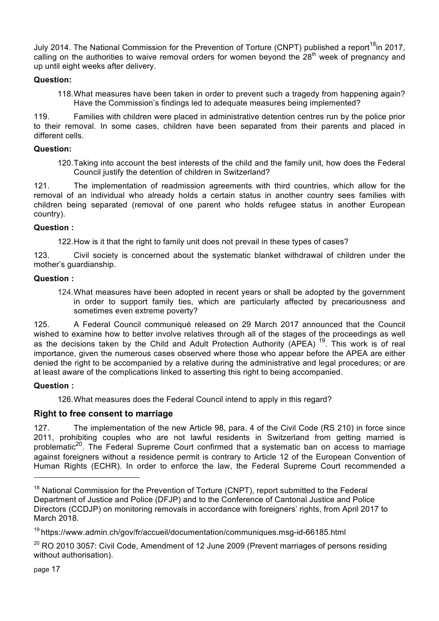July 2014. The National Commission for the Prevention of Torture (CNPT) published a report<sup>18</sup>in 2017, calling on the authorities to waive removal orders for women beyond the  $28<sup>th</sup>$  week of pregnancy and up until eight weeks after delivery.

## **Question:**

118.What measures have been taken in order to prevent such a tragedy from happening again? Have the Commission's findings led to adequate measures being implemented?

119. Families with children were placed in administrative detention centres run by the police prior to their removal. In some cases, children have been separated from their parents and placed in different cells.

#### **Question:**

120.Taking into account the best interests of the child and the family unit, how does the Federal Council justify the detention of children in Switzerland?

121. The implementation of readmission agreements with third countries, which allow for the removal of an individual who already holds a certain status in another country sees families with children being separated (removal of one parent who holds refugee status in another European country).

## **Question :**

122.How is it that the right to family unit does not prevail in these types of cases?

123. Civil society is concerned about the systematic blanket withdrawal of children under the mother's quardianship.

## **Question :**

124.What measures have been adopted in recent years or shall be adopted by the government in order to support family ties, which are particularly affected by precariousness and sometimes even extreme poverty?

125. A Federal Council communiqué released on 29 March 2017 announced that the Council wished to examine how to better involve relatives through all of the stages of the proceedings as well as the decisions taken by the Child and Adult Protection Authority (APEA)<sup>19</sup>. This work is of real importance, given the numerous cases observed where those who appear before the APEA are either denied the right to be accompanied by a relative during the administrative and legal procedures; or are at least aware of the complications linked to asserting this right to being accompanied.

## **Question :**

126.What measures does the Federal Council intend to apply in this regard?

## **Right to free consent to marriage**

127. The implementation of the new Article 98, para. 4 of the Civil Code (RS 210) in force since 2011, prohibiting couples who are not lawful residents in Switzerland from getting married is problematic<sup>20</sup>. The Federal Supreme Court confirmed that a systematic ban on access to marriage against foreigners without a residence permit is contrary to Article 12 of the European Convention of Human Rights (ECHR). In order to enforce the law, the Federal Supreme Court recommended a

page 17

<sup>&</sup>lt;sup>18</sup> National Commission for the Prevention of Torture (CNPT), report submitted to the Federal Department of Justice and Police (DFJP) and to the Conference of Cantonal Justice and Police Directors (CCDJP) on monitoring removals in accordance with foreigners' rights, from April 2017 to March 2018.

<sup>19</sup> https://www.admin.ch/gov/fr/accueil/documentation/communiques.msg-id-66185.html

 $20$  RO 2010 3057: Civil Code, Amendment of 12 June 2009 (Prevent marriages of persons residing without authorisation).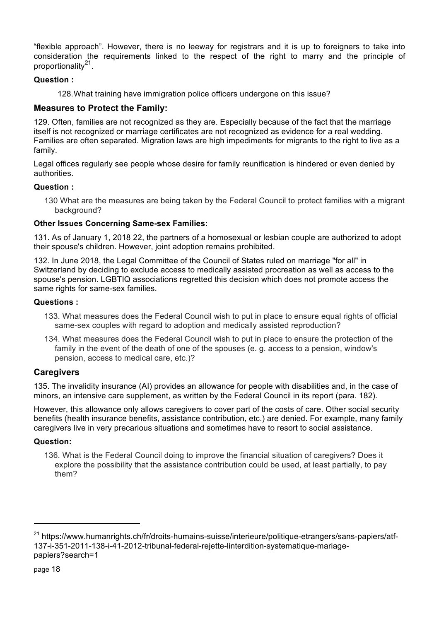"flexible approach". However, there is no leeway for registrars and it is up to foreigners to take into consideration the requirements linked to the respect of the right to marry and the principle of proportionality<sup>21</sup>.

## **Question :**

128.What training have immigration police officers undergone on this issue?

## **Measures to Protect the Family:**

129. Often, families are not recognized as they are. Especially because of the fact that the marriage itself is not recognized or marriage certificates are not recognized as evidence for a real wedding. Families are often separated. Migration laws are high impediments for migrants to the right to live as a family.

Legal offices regularly see people whose desire for family reunification is hindered or even denied by authorities.

## **Question :**

130 What are the measures are being taken by the Federal Council to protect families with a migrant background?

## **Other Issues Concerning Same-sex Families:**

131. As of January 1, 2018 22, the partners of a homosexual or lesbian couple are authorized to adopt their spouse's children. However, joint adoption remains prohibited.

132. In June 2018, the Legal Committee of the Council of States ruled on marriage "for all" in Switzerland by deciding to exclude access to medically assisted procreation as well as access to the spouse's pension. LGBTIQ associations regretted this decision which does not promote access the same rights for same-sex families.

#### **Questions :**

- 133. What measures does the Federal Council wish to put in place to ensure equal rights of official same-sex couples with regard to adoption and medically assisted reproduction?
- 134. What measures does the Federal Council wish to put in place to ensure the protection of the family in the event of the death of one of the spouses (e. g. access to a pension, window's pension, access to medical care, etc.)?

## **Caregivers**

135. The invalidity insurance (AI) provides an allowance for people with disabilities and, in the case of minors, an intensive care supplement, as written by the Federal Council in its report (para. 182).

However, this allowance only allows caregivers to cover part of the costs of care. Other social security benefits (health insurance benefits, assistance contribution, etc.) are denied. For example, many family caregivers live in very precarious situations and sometimes have to resort to social assistance.

#### **Question:**

136. What is the Federal Council doing to improve the financial situation of caregivers? Does it explore the possibility that the assistance contribution could be used, at least partially, to pay them?

<sup>&</sup>lt;sup>21</sup> https://www.humanrights.ch/fr/droits-humains-suisse/interieure/politique-etrangers/sans-papiers/atf-137-i-351-2011-138-i-41-2012-tribunal-federal-rejette-linterdition-systematique-mariagepapiers?search=1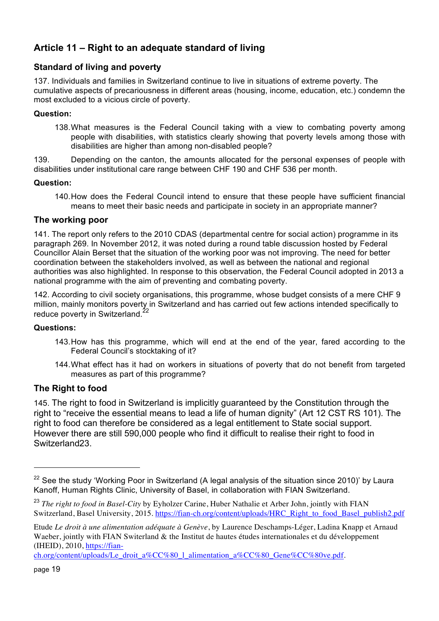# **Article 11 – Right to an adequate standard of living**

## **Standard of living and poverty**

137. Individuals and families in Switzerland continue to live in situations of extreme poverty. The cumulative aspects of precariousness in different areas (housing, income, education, etc.) condemn the most excluded to a vicious circle of poverty.

#### **Question:**

138.What measures is the Federal Council taking with a view to combating poverty among people with disabilities, with statistics clearly showing that poverty levels among those with disabilities are higher than among non-disabled people?

139. Depending on the canton, the amounts allocated for the personal expenses of people with disabilities under institutional care range between CHF 190 and CHF 536 per month.

#### **Question:**

140.How does the Federal Council intend to ensure that these people have sufficient financial means to meet their basic needs and participate in society in an appropriate manner?

## **The working poor**

141. The report only refers to the 2010 CDAS (departmental centre for social action) programme in its paragraph 269. In November 2012, it was noted during a round table discussion hosted by Federal Councillor Alain Berset that the situation of the working poor was not improving. The need for better coordination between the stakeholders involved, as well as between the national and regional authorities was also highlighted. In response to this observation, the Federal Council adopted in 2013 a national programme with the aim of preventing and combating poverty.

142. According to civil society organisations, this programme, whose budget consists of a mere CHF 9 million, mainly monitors poverty in Switzerland and has carried out few actions intended specifically to reduce poverty in Switzerland.<sup>22</sup>

#### **Questions:**

- 143.How has this programme, which will end at the end of the year, fared according to the Federal Council's stocktaking of it?
- 144.What effect has it had on workers in situations of poverty that do not benefit from targeted measures as part of this programme?

## **The Right to food**

145. The right to food in Switzerland is implicitly guaranteed by the Constitution through the right to "receive the essential means to lead a life of human dignity" (Art 12 CST RS 101). The right to food can therefore be considered as a legal entitlement to State social support. However there are still 590,000 people who find it difficult to realise their right to food in Switzerland23.

 $22$  See the study 'Working Poor in Switzerland (A legal analysis of the situation since 2010)' by Laura Kanoff, Human Rights Clinic, University of Basel, in collaboration with FIAN Switzerland.

<sup>&</sup>lt;sup>23</sup> The right to food in Basel-City by Eyholzer Carine, Huber Nathalie et Arber John, jointly with FIAN Switzerland, Basel University, 2015. https://fian-ch.org/content/uploads/HRC\_Right\_to\_food\_Basel\_publish2.pdf

Etude *Le droit à une alimentation adéquate à Genève*, by Laurence Deschamps-Léger, Ladina Knapp et Arnaud Waeber, jointly with FIAN Switerland & the Institut de hautes études internationales et du développement (IHEID), 2010, https://fian-

ch.org/content/uploads/Le\_droit\_a%CC%80\_l\_alimentation\_a%CC%80\_Gene%CC%80ve.pdf.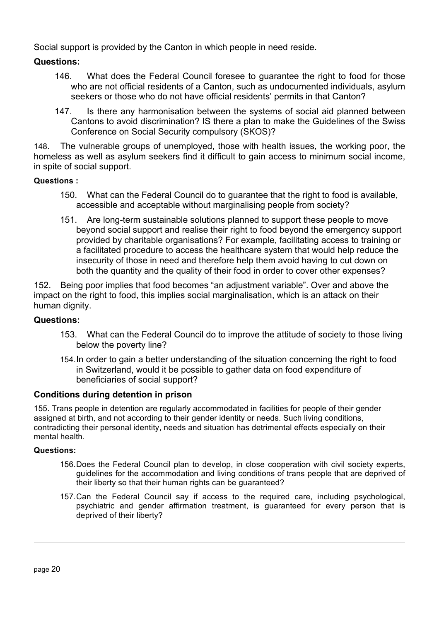Social support is provided by the Canton in which people in need reside.

## **Questions:**

- 146. What does the Federal Council foresee to guarantee the right to food for those who are not official residents of a Canton, such as undocumented individuals, asylum seekers or those who do not have official residents' permits in that Canton?
- 147. Is there any harmonisation between the systems of social aid planned between Cantons to avoid discrimination? IS there a plan to make the Guidelines of the Swiss Conference on Social Security compulsory (SKOS)?

148. The vulnerable groups of unemployed, those with health issues, the working poor, the homeless as well as asylum seekers find it difficult to gain access to minimum social income, in spite of social support.

## **Questions :**

- 150. What can the Federal Council do to guarantee that the right to food is available, accessible and acceptable without marginalising people from society?
- 151. Are long-term sustainable solutions planned to support these people to move beyond social support and realise their right to food beyond the emergency support provided by charitable organisations? For example, facilitating access to training or a facilitated procedure to access the healthcare system that would help reduce the insecurity of those in need and therefore help them avoid having to cut down on both the quantity and the quality of their food in order to cover other expenses?

152. Being poor implies that food becomes "an adjustment variable". Over and above the impact on the right to food, this implies social marginalisation, which is an attack on their human dignity.

## **Questions:**

- 153. What can the Federal Council do to improve the attitude of society to those living below the poverty line?
- 154.In order to gain a better understanding of the situation concerning the right to food in Switzerland, would it be possible to gather data on food expenditure of beneficiaries of social support?

## **Conditions during detention in prison**

155. Trans people in detention are regularly accommodated in facilities for people of their gender assigned at birth, and not according to their gender identity or needs. Such living conditions, contradicting their personal identity, needs and situation has detrimental effects especially on their mental health.

#### **Questions:**

- 156.Does the Federal Council plan to develop, in close cooperation with civil society experts, guidelines for the accommodation and living conditions of trans people that are deprived of their liberty so that their human rights can be guaranteed?
- 157.Can the Federal Council say if access to the required care, including psychological, psychiatric and gender affirmation treatment, is guaranteed for every person that is deprived of their liberty?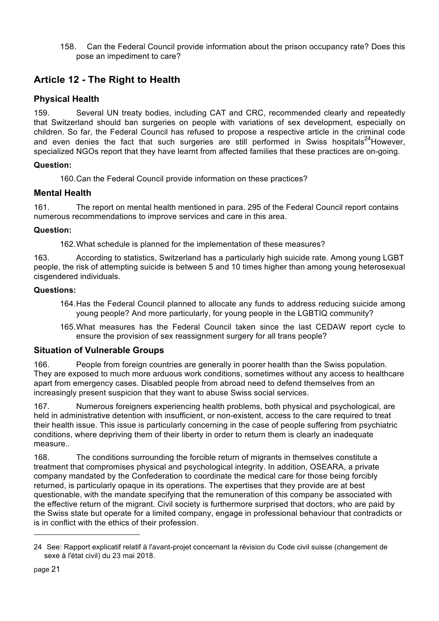158. Can the Federal Council provide information about the prison occupancy rate? Does this pose an impediment to care?

# **Article 12 - The Right to Health**

# **Physical Health**

159. Several UN treaty bodies, including CAT and CRC, recommended clearly and repeatedly that Switzerland should ban surgeries on people with variations of sex development, especially on children. So far, the Federal Council has refused to propose a respective article in the criminal code and even denies the fact that such surgeries are still performed in Swiss hospitals<sup>24</sup>However, specialized NGOs report that they have learnt from affected families that these practices are on-going.

## **Question:**

160.Can the Federal Council provide information on these practices?

## **Mental Health**

161. The report on mental health mentioned in para. 295 of the Federal Council report contains numerous recommendations to improve services and care in this area.

## **Question:**

162.What schedule is planned for the implementation of these measures?

163. According to statistics, Switzerland has a particularly high suicide rate. Among young LGBT people, the risk of attempting suicide is between 5 and 10 times higher than among young heterosexual cisgendered individuals.

## **Questions:**

- 164.Has the Federal Council planned to allocate any funds to address reducing suicide among young people? And more particularly, for young people in the LGBTIQ community?
- 165.What measures has the Federal Council taken since the last CEDAW report cycle to ensure the provision of sex reassignment surgery for all trans people?

## **Situation of Vulnerable Groups**

166. People from foreign countries are generally in poorer health than the Swiss population. They are exposed to much more arduous work conditions, sometimes without any access to healthcare apart from emergency cases. Disabled people from abroad need to defend themselves from an increasingly present suspicion that they want to abuse Swiss social services.

167. Numerous foreigners experiencing health problems, both physical and psychological, are held in administrative detention with insufficient, or non-existent, access to the care required to treat their health issue. This issue is particularly concerning in the case of people suffering from psychiatric conditions, where depriving them of their liberty in order to return them is clearly an inadequate measure..

168. The conditions surrounding the forcible return of migrants in themselves constitute a treatment that compromises physical and psychological integrity. In addition, OSEARA, a private company mandated by the Confederation to coordinate the medical care for those being forcibly returned, is particularly opaque in its operations. The expertises that they provide are at best questionable, with the mandate specifying that the remuneration of this company be associated with the effective return of the migrant. Civil society is furthermore surprised that doctors, who are paid by the Swiss state but operate for a limited company, engage in professional behaviour that contradicts or is in conflict with the ethics of their profession.

<sup>24</sup> See: Rapport explicatif relatif à l'avant-projet concernant la révision du Code civil suisse (changement de sexe à l'état civil) du 23 mai 2018.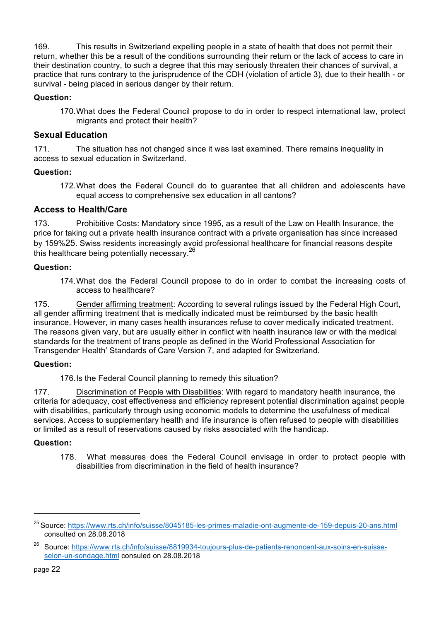169. This results in Switzerland expelling people in a state of health that does not permit their return, whether this be a result of the conditions surrounding their return or the lack of access to care in their destination country, to such a degree that this may seriously threaten their chances of survival, a practice that runs contrary to the jurisprudence of the CDH (violation of article 3), due to their health - or survival - being placed in serious danger by their return.

## **Question:**

170.What does the Federal Council propose to do in order to respect international law, protect migrants and protect their health?

## **Sexual Education**

171. The situation has not changed since it was last examined. There remains inequality in access to sexual education in Switzerland.

## **Question:**

172.What does the Federal Council do to guarantee that all children and adolescents have equal access to comprehensive sex education in all cantons?

## **Access to Health/Care**

173. Prohibitive Costs: Mandatory since 1995, as a result of the Law on Health Insurance, the price for taking out a private health insurance contract with a private organisation has since increased by 159%25. Swiss residents increasingly avoid professional healthcare for financial reasons despite this healthcare being potentially necessary.<sup>26</sup>

#### **Question:**

174.What dos the Federal Council propose to do in order to combat the increasing costs of access to healthcare?

175. Gender affirming treatment: According to several rulings issued by the Federal High Court, all gender affirming treatment that is medically indicated must be reimbursed by the basic health insurance. However, in many cases health insurances refuse to cover medically indicated treatment. The reasons given vary, but are usually either in conflict with health insurance law or with the medical standards for the treatment of trans people as defined in the World Professional Association for Transgender Health' Standards of Care Version 7, and adapted for Switzerland.

#### **Question:**

176.Is the Federal Council planning to remedy this situation?

177. Discrimination of People with Disabilities: With regard to mandatory health insurance, the criteria for adequacy, cost effectiveness and efficiency represent potential discrimination against people with disabilities, particularly through using economic models to determine the usefulness of medical services. Access to supplementary health and life insurance is often refused to people with disabilities or limited as a result of reservations caused by risks associated with the handicap.

#### **Question:**

178. What measures does the Federal Council envisage in order to protect people with disabilities from discrimination in the field of health insurance?

<sup>&</sup>lt;sup>25</sup> Source: https://www.rts.ch/info/suisse/80451<u>85-les-primes-maladie-ont-augmente-de-159-depuis-20-ans.html</u> consulted on 28.08.2018

<sup>&</sup>lt;sup>26</sup> Source: https://www.rts.ch/info/suisse/8819934-toujours-plus-de-patients-renoncent-aux-soins-en-suisseselon-un-sondage.html consuled on 28.08.2018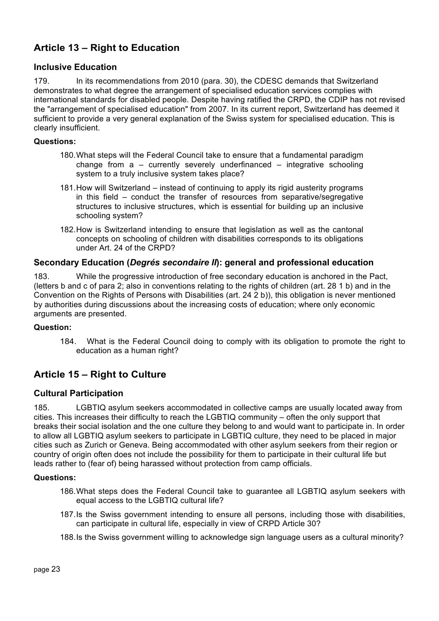# **Article 13 – Right to Education**

## **Inclusive Education**

179. In its recommendations from 2010 (para. 30), the CDESC demands that Switzerland demonstrates to what degree the arrangement of specialised education services complies with international standards for disabled people. Despite having ratified the CRPD, the CDIP has not revised the "arrangement of specialised education" from 2007. In its current report, Switzerland has deemed it sufficient to provide a very general explanation of the Swiss system for specialised education. This is clearly insufficient.

## **Questions:**

- 180.What steps will the Federal Council take to ensure that a fundamental paradigm change from  $a -$  currently severely underfinanced – integrative schooling system to a truly inclusive system takes place?
- 181.How will Switzerland instead of continuing to apply its rigid austerity programs in this field – conduct the transfer of resources from separative/segregative structures to inclusive structures, which is essential for building up an inclusive schooling system?
- 182.How is Switzerland intending to ensure that legislation as well as the cantonal concepts on schooling of children with disabilities corresponds to its obligations under Art. 24 of the CRPD?

## **Secondary Education (***Degrés secondaire II***): general and professional education**

183. While the progressive introduction of free secondary education is anchored in the Pact, (letters b and c of para 2; also in conventions relating to the rights of children (art. 28 1 b) and in the Convention on the Rights of Persons with Disabilities (art. 24 2 b)), this obligation is never mentioned by authorities during discussions about the increasing costs of education; where only economic arguments are presented.

#### **Question:**

184. What is the Federal Council doing to comply with its obligation to promote the right to education as a human right?

# **Article 15 – Right to Culture**

## **Cultural Participation**

185. LGBTIQ asylum seekers accommodated in collective camps are usually located away from cities. This increases their difficulty to reach the LGBTIQ community – often the only support that breaks their social isolation and the one culture they belong to and would want to participate in. In order to allow all LGBTIQ asylum seekers to participate in LGBTIQ culture, they need to be placed in major cities such as Zurich or Geneva. Being accommodated with other asylum seekers from their region or country of origin often does not include the possibility for them to participate in their cultural life but leads rather to (fear of) being harassed without protection from camp officials.

#### **Questions:**

- 186.What steps does the Federal Council take to guarantee all LGBTIQ asylum seekers with equal access to the LGBTIQ cultural life?
- 187.Is the Swiss government intending to ensure all persons, including those with disabilities, can participate in cultural life, especially in view of CRPD Article 30?
- 188.Is the Swiss government willing to acknowledge sign language users as a cultural minority?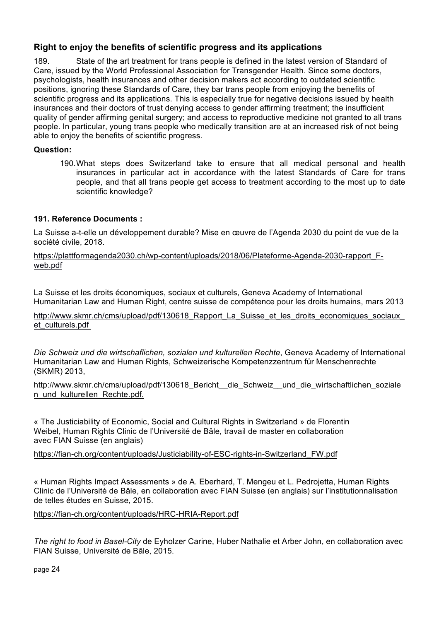## **Right to enjoy the benefits of scientific progress and its applications**

189. State of the art treatment for trans people is defined in the latest version of Standard of Care, issued by the World Professional Association for Transgender Health. Since some doctors, psychologists, health insurances and other decision makers act according to outdated scientific positions, ignoring these Standards of Care, they bar trans people from enjoying the benefits of scientific progress and its applications. This is especially true for negative decisions issued by health insurances and their doctors of trust denying access to gender affirming treatment; the insufficient quality of gender affirming genital surgery; and access to reproductive medicine not granted to all trans people. In particular, young trans people who medically transition are at an increased risk of not being able to enjoy the benefits of scientific progress.

#### **Question:**

190.What steps does Switzerland take to ensure that all medical personal and health insurances in particular act in accordance with the latest Standards of Care for trans people, and that all trans people get access to treatment according to the most up to date scientific knowledge?

## **191. Reference Documents :**

La Suisse a-t-elle un développement durable? Mise en œuvre de l'Agenda 2030 du point de vue de la société civile, 2018.

https://plattformagenda2030.ch/wp-content/uploads/2018/06/Plateforme-Agenda-2030-rapport\_Fweb.pdf

La Suisse et les droits économiques, sociaux et culturels, Geneva Academy of International Humanitarian Law and Human Right, centre suisse de compétence pour les droits humains, mars 2013

http://www.skmr.ch/cms/upload/pdf/130618 Rapport La Suisse et les droits economiques sociaux et\_culturels.pdf

*Die Schweiz und die wirtschaflichen, sozialen und kulturellen Rechte*, Geneva Academy of International Humanitarian Law and Human Rights, Schweizerische Kompetenzzentrum für Menschenrechte (SKMR) 2013,

http://www.skmr.ch/cms/upload/pdf/130618 Bericht\_ die Schweiz\_ und die wirtschaftlichen\_soziale n\_und\_kulturellen\_Rechte.pdf.

« The Justiciability of Economic, Social and Cultural Rights in Switzerland » de Florentin Weibel, Human Rights Clinic de l'Université de Bâle, travail de master en collaboration avec FIAN Suisse (en anglais)

https://fian-ch.org/content/uploads/Justiciability-of-ESC-rights-in-Switzerland\_FW.pdf

« Human Rights Impact Assessments » de A. Eberhard, T. Mengeu et L. Pedrojetta, Human Rights Clinic de l'Université de Bâle, en collaboration avec FIAN Suisse (en anglais) sur l'institutionnalisation de telles études en Suisse, 2015.

https://fian-ch.org/content/uploads/HRC-HRIA-Report.pdf

*The right to food in Basel-City* de Eyholzer Carine, Huber Nathalie et Arber John, en collaboration avec FIAN Suisse, Université de Bâle, 2015.